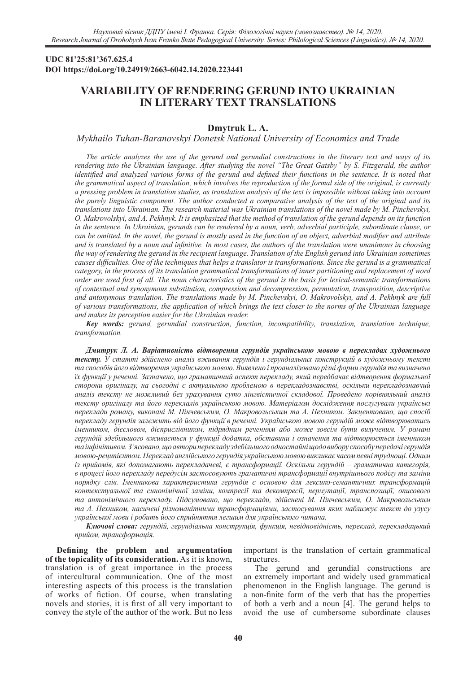## **UDC 81'25:81'367.625.4 DOI https://doi.org/10.24919/2663-6042.14.2020.223441**

# **VARIABILITY OF RENDERING GERUND INTO UKRAINIAN IN LITERARY TEXT TRANSLATIONS**

## **Dmytruk L. A.**

*Mykhailo Tuhan-Baranovskyi Donetsk National University of Economics and Trade*

*The article analyzes the use of the gerund and gerundial constructions in the literary text and ways of its rendering into the Ukrainian language. After studying the novel "The Great Gatsby" by S. Fitzgerald, the author*  identified and analyzed various forms of the gerund and defined their functions in the sentence. It is noted that *the grammatical aspect of translation, which involves the reproduction of the formal side of the original, is currently a pressing problem in translation studies, as translation analysis of the text is impossible without taking into account the purely linguistic component. The author conducted a comparative analysis of the text of the original and its translations into Ukrainian. The research material was Ukrainian translations of the novel made by M. Pinchevskyi, O. Makrovolskyi, and A. Pekhnyk. It is emphasized that the method of translation of the gerund depends on its function in the sentence. In Ukrainian, gerunds can be rendered by a noun, verb, adverbial participle, subordinate clause, or can be omitted. In the novel, the gerund is mostly used in the function of an object, adverbial modifier and attribute and is translated by a noun and infinitive. In most cases, the authors of the translation were unanimous in choosing the way of rendering the gerund in the recipient language. Translation of the English gerund into Ukrainian sometimes causes difficulties. One of the techniques that helps a translator is transformations. Since the gerund is a grammatical category, in the process of its translation grammatical transformations of inner partitioning and replacement of word order are used first of all. The noun characteristics of the gerund is the basis for lexical-semantic transformations of contextual and synonymous substitution, compression and decompression, permutation, transposition, descriptive and antonymous translation. The translations made by M. Pinchevskyi, O. Makrovolskyi, and A. Pekhnyk are full of various transformations, the application of which brings the text closer to the norms of the Ukrainian language and makes its perception easier for the Ukrainian reader.*

*Key words: gerund, gerundial construction, function, incompatibility, translation, translation technique, transformation.*

*Дмитрук Л. А. Варіативність відтворення герундія українською мовою в перекладах художнього тексту. У статті здійснено аналіз вживання герундія і герундіальних конструкцій в художньому тексті та способів його відтворення українською мовою. Виявлено і проаналізовано різні форми герундія та визначено їх функції у реченні. Зазначено, що граматичний аспект перекладу, який передбачає відтворення формальної сторони оригіналу, на сьогодні є актуальною проблемою в перекладознавстві, оскільки перекладознавчий аналіз тексту не можливий без урахування суто лінгвістичної складової. Проведено порівняльний аналіз тексту оригіналу та його переклалів українською мовою. Матеріалом дослідження послугували українські переклади роману, виконані М. Пінчевським, О. Макровольським та А. Пехником. Закцентовано, що спосіб перекладу герундія залежить від його функції в реченні. Українською мовою герундій може відтворюватись іменником, дієсловом, дієприслівником, підрядним реченням або може зовсім бути вилученим. У романі герундій здебільшого вживається у функції додатка, обставини і означення та відтворюється іменником та інфінітивом. З'ясовано, що автори перекладу здебільшого одностайні щодо вибору способу передачі герундія мовою-реципієнтом. Переклад англійського герундія українською мовою викликає часом певні труднощі. Одним із прийомів, які допомагають перекладачеві, є трансформації. Оскільки герундій – граматична категорія, в процесі його перекладу передусім застосовують граматичні трансформації внутрішнього поділу та заміни порядку слів. Іменникова характеристика герундія є основою для лексико-семантичних трансформацій контекстуальної та синонімічної заміни, компресії та декомпресії, пермутації, транспозиції, описового та антонімічного перекладу. Підсумовано, що переклади, здійснені М. Пінчевським, О. Макровольським та А. Пехником, насичені різноманітними трансформаціями, застосування яких наближує текст до узусу української мови і робить його сприйняття легшим для українського читача.*

*Ключові слова: герундій, герундіальна конструкція, функція, невідповідність, переклад, перекладацький прийом, трансформація.* 

**Defining the problem and argumentation of the topicality of its consideration.** As it is known, translation is of great importance in the process of intercultural communication. One of the most interesting aspects of this process is the translation of works of fiction. Of course, when translating novels and stories, it is first of all very important to convey the style of the author of the work. But no less

important is the translation of certain grammatical structures.

The gerund and gerundial constructions are an extremely important and widely used grammatical phenomenon in the English language. The gerund is a non-finite form of the verb that has the properties of both a verb and a noun [4]. The gerund helps to avoid the use of cumbersome subordinate clauses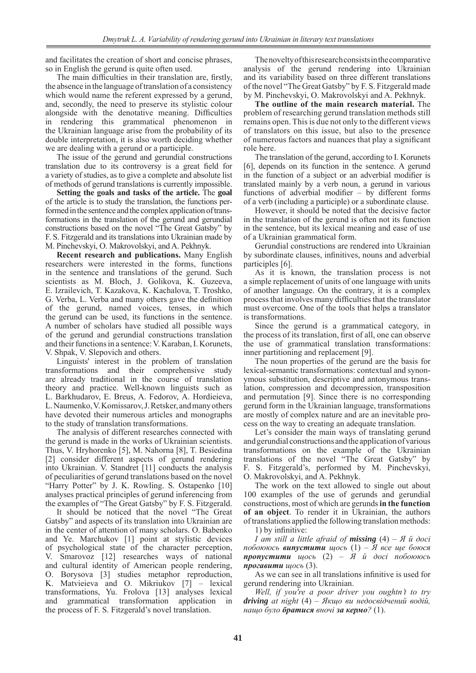and facilitates the creation of short and concise phrases, so in English the gerund is quite often used.

The main difficulties in their translation are, firstly, the absence in the language of translation of a consistency which would name the referent expressed by a gerund, and, secondly, the need to preserve its stylistic colour alongside with the denotative meaning. Difficulties in rendering this grammatical phenomenon in the Ukrainian language arise from the probability of its double interpretation, it is also worth deciding whether we are dealing with a gerund or a participle.

The issue of the gerund and gerundial constructions translation due to its controversy is a great field for a variety of studies, as to give a complete and absolute list of methods of gerund translations is currently impossible.

**Setting the goals and tasks of the article.** The **goal** of the article is to study the translation, the functions performed in the sentence and the complex application of transformations in the translation of the gerund and gerundial constructions based on the novel "The Great Gatsby" by F. S. Fitzgerald and its translations into Ukrainian made by M. Pinchevskyi, O. Makrovolskyi, and A. Pekhnyk.

**Recent research and publications.** Many English researchers were interested in the forms, functions in the sentence and translations of the gerund. Such scientists as M. Bloch, J. Golikova, K. Guzeeva, E. Izrailevich, T. Kazakova, K. Kachalova, T. Troshko, G. Verba, L. Verba and many others gave the definition of the gerund, named voices, tenses, in which the gerund can be used, its functions in the sentence. A number of scholars have studied all possible ways of the gerund and gerundial constructions translation and their functions in a sentence: V. Karaban, I. Korunets, V. Shpak, V. Slepovich and others.

Linguists' interest in the problem of translation transformations and their comprehensive study are already traditional in the course of translation theory and practice. Well-known linguists such as L. Barkhudarov, E. Breus, A. Fedorov, А. Hordieieva, L.Naumenko, V.Komissarov, J.Retsker, and many others have devoted their numerous articles and monographs to the study of translation transformations.

The analysis of different researches connected with the gerund is made in the works of Ukrainian scientists. Thus, V. Hryhorenko [5], M. Nahorna [8], T. Besiedina [2] consider different aspects of gerund rendering into Ukrainian. V. Standret [11] conducts the analysis of peculiarities of gerund translations based on the novel "Harry Potter" by J. K. Rowling. S. Ostapenko [10] analyses practical principles of gerund inferencing from the examples of "The Great Gatsby" by F. S. Fitzgerald.

It should be noticed that the novel "The Great Gatsby" and aspects of its translation into Ukrainian are in the center of attention of many scholars. O. Babenko and Ye. Marchukov [1] point at stylistic devices of psychological state of the character perception, V. Smarovoz [12] researches ways of national and cultural identity of American people rendering, O. Borysova [3] studies metaphor reproduction, K. Matvieieva and O. Mikriukov [7] – lexical transformations, Yu. Frolova [13] analyses lexical and grammatical transformation application in the process of F. S. Fitzgerald's novel translation.

The novelty of this research consists in the comparative analysis of the gerund rendering into Ukrainian and its variability based on three different translations of the novel "The Great Gatsby" by F. S. Fitzgerald made by M. Pinchevskyi, O. Makrovolskyi and A. Pekhnyk.

**The outline of the main research material.** The problem of researching gerund translation methods still remains open. This is due not only to the different views of translators on this issue, but also to the presence of numerous factors and nuances that play a significant role here.

The translation of the gerund, according to I. Korunets [6], depends on its function in the sentence. A gerund in the function of a subject or an adverbial modifier is translated mainly by a verb noun, a gerund in various functions of adverbial modifier – by different forms of a verb (including a participle) or a subordinate clause.

However, it should be noted that the decisive factor in the translation of the gerund is often not its function in the sentence, but its lexical meaning and ease of use of a Ukrainian grammatical form.

Gerundial constructions are rendered into Ukrainian by subordinate clauses, infinitives, nouns and adverbial participles [6].

As it is known, the translation process is not a simple replacement of units of one language with units of another language. On the contrary, it is a complex process that involves many difficulties that the translator must overcome. One of the tools that helps a translator is transformations.

Since the gerund is a grammatical category, in the process of its translation, first of all, one can observe the use of grammatical translation transformations: inner partitioning and replacement [9].

The noun properties of the gerund are the basis for lexical-semantic transformations: contextual and synonymous substitution, descriptive and antonymous translation, compression and decompression, transposition and permutation [9]. Since there is no corresponding gerund form in the Ukrainian language, transformations are mostly of complex nature and are an inevitable process on the way to creating an adequate translation.

Let's consider the main ways of translating gerund and gerundial constructions and the application of various transformations on the example of the Ukrainian translations of the novel "The Great Gatsby" by F. S. Fitzgerald's, performed by M. Pinchevskyi, O. Makrovolskyi, and A. Pekhnyk.

The work on the text allowed to single out about 100 examples of the use of gerunds and gerundial constructions, most of which are gerunds **in the function of an object**. To render it in Ukrainian, the authors of translations applied the following translation methods: 1) by infinitive:

*I am still a little afraid of missing* (4) – *Я й досі побоююсь випустити щось* (1) – *Я все ще боюся пропустити щось* (2) – *Я й досі побоююсь прогавити щось* (3).

As we can see in all translations infinitive is used for gerund rendering into Ukrainian.

*Well, if you're a poor driver you oughtn't to try driving at night* (4) *– Якщо ви недосвідчений водій, нащо було братися вночі за кермо?* (1).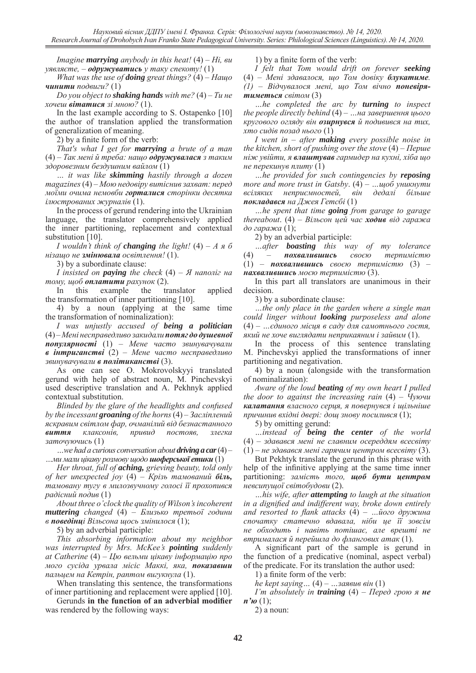*Imagine marrying anybody in this heat!* (4) – *Ні, ви уявляєте, – одружуватись у таку спекоту!* (1)

*What was the use of doing great things?* (4) – *Нащо чинити подвиги?* (1)

*Do you object to shaking hands with me?* (4) – *Ти не хочеш вітатися зі мною?* (1).

In the last example according to S. Ostapenko [10] the author of translation applied the transformation of generalization of meaning.

2) by a finite form of the verb:

*That's what I get for marrying a brute of a man* (4) – *Так мені й треба: нащо одружувалася з таким здоровезним бездушним вайлом* (1)

*… it was like skimming hastily through a dozen magazines* (4) – *Мою недовіру витіснив захват: перед моїми очима немовби горталися сторінки десятка ілюстрованих журналів* (1).

In the process of gerund rendering into the Ukrainian language, the translator comprehensively applied the inner partitioning, replacement and contextual substitution [10].

*I* wouldn't think of *changing* the light!  $(4) - A \times 6$ *нізащо не змінювала освітлення!* (1).

3) by a subordinate clause:

*I insisted on paying the check* (4) – *Я наполіг на тому, щоб оплатити рахунок* (2).

In this example the translator applied the transformation of inner partitioning [10].

4) by a noun (applying at the same time the transformation of nominalization):

*I was unjustly accused of being a politician* (4) – *Мені несправедливо закидали потяг до душевної популярності* (1) – *Мене часто звинувачували в інтриганстві* (2) – *Мене часто несправедливо звинувачували в політиканстві* (3).

As one can see O. Mokrovolskyyi translated gerund with help of abstract noun, M. Pinchevskyi used descriptive translation and A. Pekhnyk applied contextual substitution.

*Blinded by the glare of the headlights and confused by the incessant groaning of the horns* (4) – *Засліплений яскравим світлом фар, очманілий від безнастанного виття клаксонів, привид постояв, злегка заточуючись* (1)

*…we had a curious conversation about driving a car* (4) – *…ми мали цікаву розмову щодо шоферської етики* (1)

*Her throat, full of aching, grieving beauty, told only of her unexpected joy* (4) – *Крізь тамований біль, тамовану тугу в милозвучному голосі її прохопився радісний подив* (1)

*About three o'clock the quality of Wilson's incoherent muttering changed* (4) – *Близько третьої години в поведінці Вільсона щось змінилося* (1);

5) by an adverbial participle:

*This absorbing information about my neighbor was interrupted by Mrs. McKee's pointing suddenly at Catherine* (4) – *Цю вельми цікаву інформацію про мого сусіда урвала місіс Маккі, яка, показавши пальцем на Кетрін, раптом вигукнула* (1).

When translating this sentence, the transformations of inner partitioning and replacement were applied [10].

Gerunds **in the function of an adverbial modifier** was rendered by the following ways:

1) by a finite form of the verb:

*I felt that Tom would drift on forever seeking* (4) – *Мені здавалося, що Том довіку блукатиме. (1) – Відчувалося мені, що Том вічно поневірятиметься світом* (3)

*…he completed the arc by turning to inspect the people directly behind* (4) *– …на завершення цього кругового огляду він озирнувся й подивився на тих, хто сидів позад нього* (1)

*I went in – after making every possible noise in the kitchen, short of pushing over the stove* (4) – *Перше ніж увійти, я влаштував гармидер на кухні, хіба що не перекинув плиту* (1)

*…he provided for such contingencies by reposing more and more trust in Gatsby*. (4) – *…щоб уникнути всіляких неприємностей, він дедалі більше покладався на Джея Гетсбі* (1)

*…he spent that time going from garage to garage thereabout*. (4) – *Вільсон цей час ходив від гаража до гаража* (1);

2) by an adverbial participle:

*…after boasting this way of my tolerance*  (4) *– похвалившись своєю терпимістю*  (1) – *похвалившись своєю терпимістю* (3) – *нахвалившись моєю терпимістю* (3).

In this part all translators are unanimous in their decision.

3) by a subordinate clause:

*…the only place in the garden where a single man could linger without looking purposeless and alone* (4) – *…єдиного місця в саду для самотнього гостя, який не хоче виглядати неприкаяним і зайвим* (1).

In the process of this sentence translating M. Pinchevskyi applied the transformations of inner partitioning and negativation.

4) by a noun (alongside with the transformation of nominalization):

*Aware of the loud beating of my own heart I pulled the door to against the increasing rain* (4) – *Чуючи калатання власного серця, я повернувся і щільніше причинив вхідні двері: дощ знову посилився* (1);

5) by omitting gerund:

*…instead of being the center of the world* (4) – *здавався мені не славним осереддям всесвіту* (1) – *не здавався мені гарячим центром всесвіту* (3).

But Pekhtyk translate the gerund in this phrase with help of the infinitive applying at the same time inner partitioning: *замість того, щоб бути центром невсипущої світобудови* (2).

*…his wife, after attempting to laugh at the situation in a dignified and indifferent way, broke down entirely and resorted to flank attacks* (4) – *…його дружина спочатку статечно вдавала, ніби це її зовсім не обходить і навіть потішає, але врешті не втрималася й перейшла до флангових атак* (1).

A significant part of the sample is gerund in the function of a predicative (nominal, aspect verbal) of the predicate. For its translation the author used:

1) a finite form of the verb:

*he kept saying…* (4) *– …заявив він* (1)

*I'm absolutely in training*  $(4)$  – *Перед грою я не п'ю* (1):

2) a noun: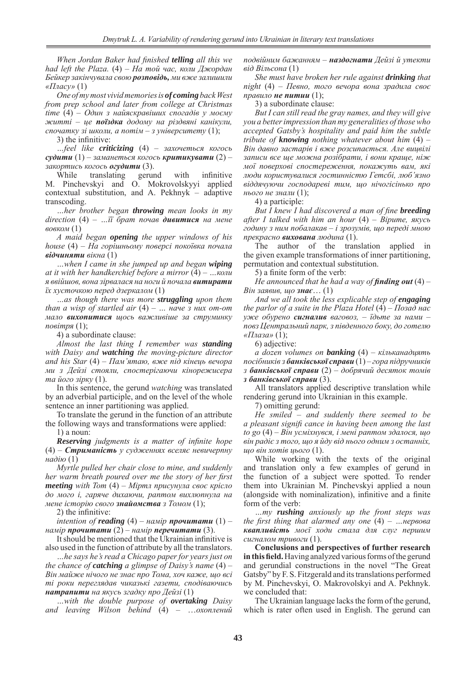*When Jordan Baker had finished telling all this we had left the Plaza.* (4) – *На той час, коли Джордан Бейкер закінчувала свою розповідь, ми вже залишили «Пласу»* (1)

*One of my most vivid memories is of coming back West from prep school and later from college at Christmas time* (4) – *Один з найяскравіших спогадів у моєму житті – це поїздка додому на різдвяні канікули, спочатку зі школи, а потім – з університету* (1);

3) the infinitive:

*…feel like criticizing* (4) – *захочеться когось судити* (1) – *заманеться когось критикувати* (2) –

*закортись когось огудити* (3).<br>While translating gerund While translating gerund with infinitive M. Pinchevskyi and O. Mokrovolskyyi applied contextual substitution, and A. Pekhnyk – adaptive transcoding.

*…her brother began throwing mean looks in my direction* (4) – *…її брат почав дивитися на мене вовком* (1)

*A maid began opening the upper windows of his house* (4) – *На горішньому поверсі покоївка почала відчиняти вікна* (1)

*…when I came in she jumped up and began wiping at it with her handkerchief before a mirror* (4) – *…коли я ввійшов, вона зірвалася на ноги й почала витирати їх хусточкою перед дзеркалом* (1)

*…as though there was more struggling upon them than a wisp of startled air* (4) – *… наче з них от-от мало вихопитися щось важливіше за струминку повітря* (1);

4) a subordinate clause:

*Almost the last thing I remember was standing with Daisy and watching the moving-picture director and his Star* (4) – *Пам'ятаю, вже під кінець вечора ми з Дейзі стояли, спостерігаючи кінорежисера та його зірку* (1).

In this sentence, the gerund *watching* was translated by an adverbial participle, and on the level of the whole sentence an inner partitioning was applied.

To translate the gerund in the function of an attribute the following ways and transformations were applied:

1) a noun:

*Reserving judgments is a matter of infinite hope* (4) – *Стриманість у судженнях вселяє невичерпну надію* (1)

*Myrtle pulled her chair close to mine, and suddenly her warm breath poured over me the story of her first meeting with Tom* (4) – *Міртл присунула своє крісло до мого і, гаряче дихаючи, раптом вихлюпнула на мене історію свого знайомства з Томом* (1);

2) the infinitive:

*intention of reading*  $(4)$  – *намір* **прочитати**  $(1)$  – *намір прочитати* (2) – *намір перечитати* (3).

It should be mentioned that the Ukrainian infinitive is also used in the function of attribute by all the translators.

*…he says he's read a Chicago paper for years just on the chance of catching a glimpse of Daisy's name* (4) – *Він майже нічого не знає про Тома, хоч каже, що всі ті роки переглядав чиказькі газети, сподіваючись натрапити на якусь згадку про Дейзі* (1)

*…with the double purpose of overtaking Daisy and leaving Wilson behind* (4) – …*охоплений* 

*подвійним бажанням – наздогнати Дейзі й утекти від Вільсона* (1)

*She must have broken her rule against drinking that night* (4) – *Певно, того вечора вона зрадила своє правило не питии* (1);

3) a subordinate clause:

*But I can still read the gray names, and they will give you a better impression than my generalities of those who accepted Gatsby's hospitality and paid him the subtle tribute of knowing nothing whatever about him* (4) – *Він давно застарів і вже розсипається. Але вицвілі записи все ще можна розібрати, і вони краще, ніж мої поверхові спостереження, покажуть вам, які люди користувалися гостинністю Гетсбі, люб'язно віддячуючи господареві тим, що нічогісінько про нього не знали* (1);

4) a participle:

*But I knew I had discovered a man of fine breeding after I talked with him an hour* (4) – *Вірите, якусь годину з ним побалакав – і зрозумів, що переді мною прекрасно вихована людина* (1).

The author of the translation applied in the given example transformations of inner partitioning, permutation and contextual substitution.

5) a finite form of the verb:

*He announced that he had a way of finding out*  $(4)$  – *Він заявив, що знає*… (1)

*And we all took the less explicable step of engaging the parlor of a suite in the Plaza Hotel* (4) – *Позад нас уже обурено сигналив ваговоз, – їдьте за нами – повз Центральний парк, з південного боку, до готелю «Плаза»* (1);

6) adjective:

*a dozen volumes on banking* (4) – *кільканадцять посібників з банківської справи* (1) – *гора підручників з банківської справи* (2) *– добрячий десяток томів з банківської справи* (3).

All translators applied descriptive translation while rendering gerund into Ukrainian in this example.

7) omitting gerund:

*He smiled – and suddenly there seemed to be a pleasant signifi cance in having been among the last to go* (4) – *Він усміхнувся, і мені раптом здалося, що він радіє з того, що я йду від нього одним з останніх, що він хотів цього* (1).

While working with the texts of the original and translation only a few examples of gerund in the function of a subject were spotted. To render them into Ukrainian M. Pinchevskyi applied a noun (alongside with nominalization), infinitive and a finite form of the verb:

*…my rushing anxiously up the front steps was the first thing that alarmed any one* (4) – *…нервова квапливість моєї ходи стала для слуг першим сигналом тривоги* (1).

**Conclusions and perspectives of further research in this field.** Having analyzed various forms of the gerund and gerundial constructions in the novel "The Great Gatsby" by F. S. Fitzgerald and its translations performed by M. Pinchevskyi, O. Makrovolskyi and A. Pekhnyk. we concluded that:

The Ukrainian language lacks the form of the gerund, which is rater often used in English. The gerund can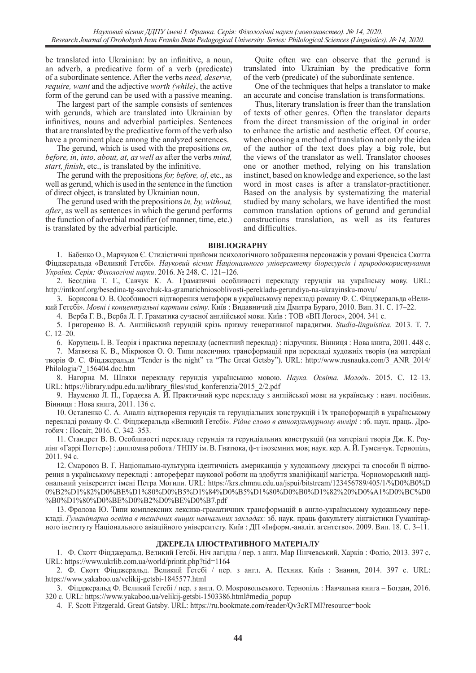be translated into Ukrainian: by an infinitive, a noun, an adverb, a predicative form of a verb (predicate) of a subordinate sentence. After the verbs *need, deserve, require, want* and the adjective *worth (while)*, the active form of the gerund can be used with a passive meaning.

The largest part of the sample consists of sentences with gerunds, which are translated into Ukrainian by infinitives, nouns and adverbial participles. Sentences that are translated by the predicative form of the verb also have a prominent place among the analyzed sentences.

The gerund, which is used with the prepositions *on, before, in, into, about, at, as well as* after the verbs *mind, start, finish*, etc., is translated by the infinitive.

The gerund with the prepositions *for, before, of*, etc., as well as gerund, which is used in the sentence in the function of direct object, is translated by Ukrainian noun.

The gerund used with the prepositions *in, by, without, after*, as well as sentences in which the gerund performs the function of adverbial modifier (of manner, time, etc.) is translated by the adverbial participle.

Quite often we can observe that the gerund is translated into Ukrainian by the predicative form of the verb (predicate) of the subordinate sentence.

One of the techniques that helps a translator to make an accurate and concise translation is transformations.

Thus, literary translation is freer than the translation of texts of other genres. Often the translator departs from the direct transmission of the original in order to enhance the artistic and aesthetic effect. Of course, when choosing a method of translation not only the idea of the author of the text does play a big role, but the views of the translator as well. Translator chooses one or another method, relying on his translation instinct, based on knowledge and experience, so the last word in most cases is after a translator-practitioner. Based on the analysis by systematizing the material studied by many scholars, we have identified the most common translation options of gerund and gerundial constructions translation, as well as its features and difficulties.

#### **BIBLIOGRAPHY**

1. Бабенко О., Марчуков Є. Стилістичні прийоми психологічного зображення персонажів у романі Френсіса Скотта Фіцджеральда «Великий Гетсбі». *Науковий вісник Національного університету біоресурсів і природокористування України. Серія: Філологічні науки*. 2016. № 248. С. 121–126.

2. Бесєдіна Т. Г., Савчук К. А. Граматичні особливості перекладу герундія на українську мову. URL: http://intkonf.org/besedina-tg-savchuk-ka-gramatichniosoblivosti-perekladu-gerundiya-na-ukrayinsku-movu/

3. Борисова О. В. Особливості відтворення метафори в українському перекладі роману Ф. С. Фіцджеральда «Великий Гетсбі». *Мовні і концептуальні картини світу*. Київ : Видавничий дім Дмитра Бураго, 2010. Вип. 31. С. 17–22.

4. Верба Г. В., Верба Л. Г. Граматика сучасної англійської мови. Київ : ТОВ «ВП Логос», 2004. 341 с.

5. Григоренко В. А. Англійський герундій крізь призму генеративної парадигми. *Studia-linguistica*. 2013. Т. 7. С. 12–20.

6. Корунець І. В. Теорія і практика перекладу (аспектний переклад) : підручник. Вінниця : Нова книга, 2001. 448 с.

7. Матвєєва К. В., Мікрюков О. О. Типи лексичних трансформацій при перекладі художніх творів (на матеріалі творів Ф. С. Фіцджеральда "Tender is the night" та "The Great Getsby"). URL: http://www.rusnauka.com/3\_ANR\_2014/ Philologia/7\_156404.doc.htm

8. Нагорна М. Шляхи перекладу герундія українською мовою. *Наука. Освіта. Молодь*. 2015. C. 12–13. URL: https://library.udpu.edu.ua/library\_files/stud\_konferenzia/2015\_2/2.pdf

9. Науменко Л. П., Гордєєва А. Й. Практичний курс перекладу з англійської мови на українську : навч. посібник. Вінниця : Нова книга, 2011. 136 с.

10. Остапенко С. А. Аналіз відтворення герундія та герундіальних конструкцій і їх трансформацій в українському перекладі роману Ф. С. Фіцджеральда «Великий Гетсбі». *Рідне слово в етнокультурному вимірі* : зб. наук. праць. Дрогобич : Посвіт, 2016. С. 342–353.

11. Стандрет В. В. Особливості перекладу герундія та герундіальних конструкцій (на матеріалі творів Дж. К. Роулінг «Гаррі Поттер») : дипломна робота / ТНПУ ім. В. Гнатюка, ф-т іноземних мов; наук. кер. А. Й. Гуменчук. Тернопіль, 2011. 94 с.

12. Смаровоз В. Г. Національно-культурна ідентичність американців у художньому дискурсі та способи її відтворення в українському перекладі : автореферат наукової роботи на здобуття кваліфікації магістра. Чорноморський національний університет імені Петра Могили. URL: https://krs.chmnu.edu.ua/jspui/bitstream/123456789/405/1/%D0%B0%D 0%B2%D1%82%D0%BE%D1%80%D0%B5%D1%84%D0%B5%D1%80%D0%B0%D1%82%20%D0%A1%D0%BC%D0 %B0%D1%80%D0%BE%D0%B2%D0%BE%D0%B7.pdf

13. Фролова Ю. Типи комплексних лексико-граматичних трансформацій в англо-українському художньому перекладі. *Гуманітарна освіта в технічних вищих навчальних закладах:* зб. наук. праць факультету лінгвістики Гуманітарного інституту Національного авіаційного університету. Київ : ДП «Інформ.-аналіт. агентство». 2009. Вип. 18. С. 3–11.

### **ДЖЕРЕЛА ІЛЮСТРАТИВНОГО МАТЕРІАЛУ**

1. Ф. Скотт Фіцджеральд. Великий Гетсбі. Ніч лагідна / пер. з англ. Мар Пінчевський. Харків : Фоліо, 2013. 397 с. URL: https://www.ukrlib.com.ua/world/printit.php?tid=1164

2. Ф. Скотт Фіцджеральд. Великий Гетсбі / пер. з англ. А. Пехник. Київ : Знання, 2014. 397 с. URL: https://www.yakaboo.ua/velikij-getsbi-1845577.html

3. Фіцджеральд Ф. Великий Ґетсбі / пер. з англ. О. Мокровольського. Тернопіль : Навчальна книга – Богдан, 2016. 320 с. URL: https://www.yakaboo.ua/velikij-getsbi-1503386.html#media\_popup

4. F. Scott Fitzgerald. Great Gatsby. URL: https://ru.bookmate.com/reader/Qv3cRTMl?resource=book